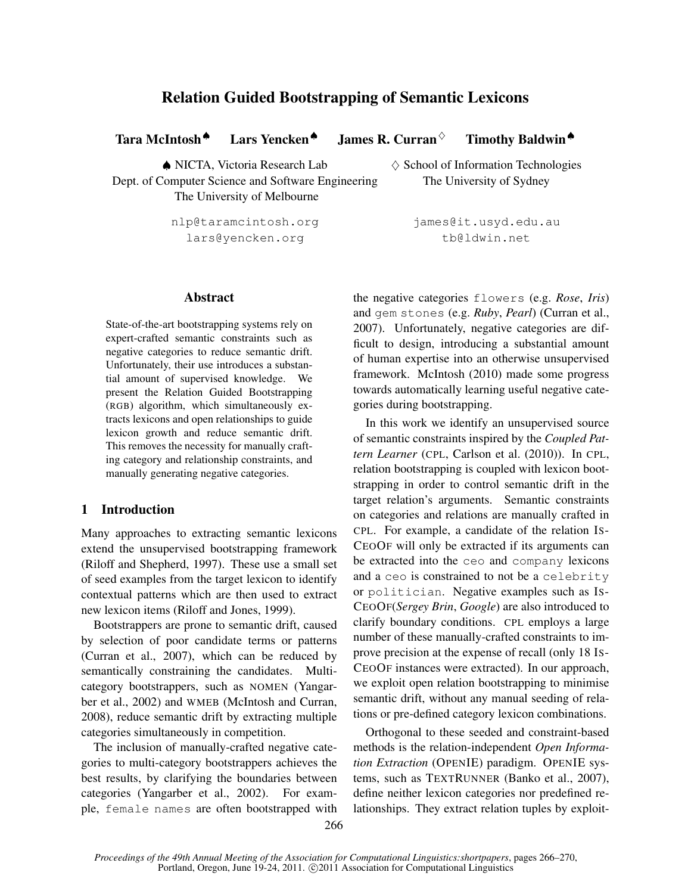## Relation Guided Bootstrapping of Semantic Lexicons

Tara McIntosh ● Lars Yencken ● James R. Curran ◇ Timothy Baldwin ●

 $\triangle$  NICTA, Victoria Research Lab  $\diamond$  School of Information Technologies Dept. of Computer Science and Software Engineering The University of Sydney The University of Melbourne

lars@yencken.org boldwin.net

# nlp@taramcintosh.org james@it.usyd.edu.au

## Abstract

State-of-the-art bootstrapping systems rely on expert-crafted semantic constraints such as negative categories to reduce semantic drift. Unfortunately, their use introduces a substantial amount of supervised knowledge. We present the Relation Guided Bootstrapping (RGB) algorithm, which simultaneously extracts lexicons and open relationships to guide lexicon growth and reduce semantic drift. This removes the necessity for manually crafting category and relationship constraints, and manually generating negative categories.

## 1 Introduction

Many approaches to extracting semantic lexicons extend the unsupervised bootstrapping framework (Riloff and Shepherd, 1997). These use a small set of seed examples from the target lexicon to identify contextual patterns which are then used to extract new lexicon items (Riloff and Jones, 1999).

Bootstrappers are prone to semantic drift, caused by selection of poor candidate terms or patterns (Curran et al., 2007), which can be reduced by semantically constraining the candidates. Multicategory bootstrappers, such as NOMEN (Yangarber et al., 2002) and WMEB (McIntosh and Curran, 2008), reduce semantic drift by extracting multiple categories simultaneously in competition.

The inclusion of manually-crafted negative categories to multi-category bootstrappers achieves the best results, by clarifying the boundaries between categories (Yangarber et al., 2002). For example, female names are often bootstrapped with the negative categories flowers (e.g. *Rose*, *Iris*) and gem stones (e.g. *Ruby*, *Pearl*) (Curran et al., 2007). Unfortunately, negative categories are difficult to design, introducing a substantial amount of human expertise into an otherwise unsupervised framework. McIntosh (2010) made some progress towards automatically learning useful negative categories during bootstrapping.

In this work we identify an unsupervised source of semantic constraints inspired by the *Coupled Pattern Learner* (CPL, Carlson et al. (2010)). In CPL, relation bootstrapping is coupled with lexicon bootstrapping in order to control semantic drift in the target relation's arguments. Semantic constraints on categories and relations are manually crafted in CPL. For example, a candidate of the relation IS-CEOOF will only be extracted if its arguments can be extracted into the ceo and company lexicons and a ceo is constrained to not be a celebrity or politician. Negative examples such as IS-CEOOF(*Sergey Brin*, *Google*) are also introduced to clarify boundary conditions. CPL employs a large number of these manually-crafted constraints to improve precision at the expense of recall (only 18 IS-CEOOF instances were extracted). In our approach, we exploit open relation bootstrapping to minimise semantic drift, without any manual seeding of relations or pre-defined category lexicon combinations.

Orthogonal to these seeded and constraint-based methods is the relation-independent *Open Information Extraction* (OPENIE) paradigm. OPENIE systems, such as TEXTRUNNER (Banko et al., 2007), define neither lexicon categories nor predefined relationships. They extract relation tuples by exploit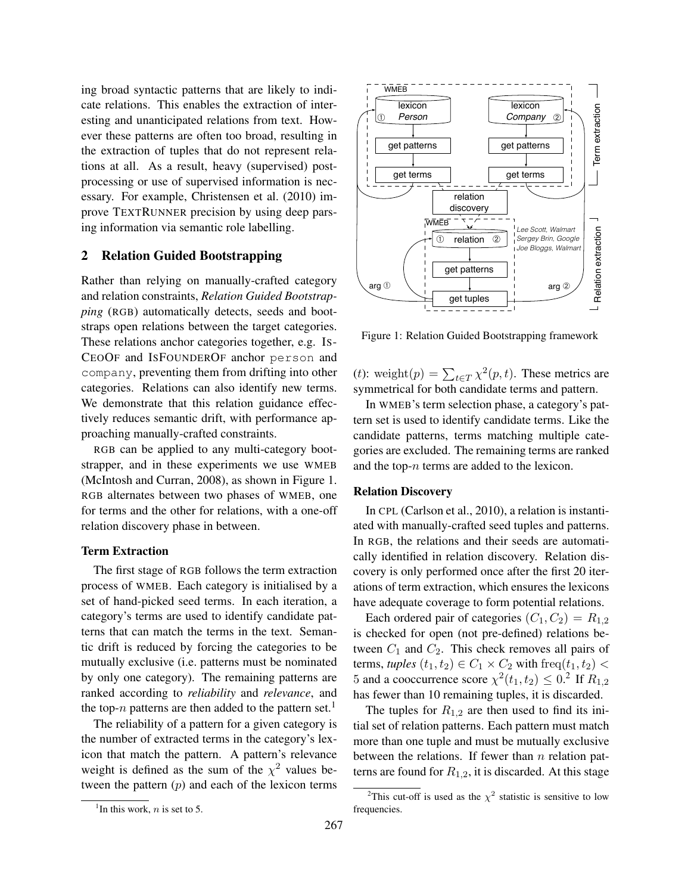ing broad syntactic patterns that are likely to indicate relations. This enables the extraction of interesting and unanticipated relations from text. However these patterns are often too broad, resulting in the extraction of tuples that do not represent relations at all. As a result, heavy (supervised) postprocessing or use of supervised information is necessary. For example, Christensen et al. (2010) improve TEXTRUNNER precision by using deep parsing information via semantic role labelling.

#### 2 Relation Guided Bootstrapping

Rather than relying on manually-crafted category and relation constraints, *Relation Guided Bootstrapping* (RGB) automatically detects, seeds and bootstraps open relations between the target categories. These relations anchor categories together, e.g. IS-CEOOF and ISFOUNDEROF anchor person and company, preventing them from drifting into other categories. Relations can also identify new terms. We demonstrate that this relation guidance effectively reduces semantic drift, with performance approaching manually-crafted constraints.

RGB can be applied to any multi-category bootstrapper, and in these experiments we use WMEB (McIntosh and Curran, 2008), as shown in Figure 1. RGB alternates between two phases of WMEB, one for terms and the other for relations, with a one-off relation discovery phase in between.

#### Term Extraction

The first stage of RGB follows the term extraction process of WMEB. Each category is initialised by a set of hand-picked seed terms. In each iteration, a category's terms are used to identify candidate patterns that can match the terms in the text. Semantic drift is reduced by forcing the categories to be mutually exclusive (i.e. patterns must be nominated by only one category). The remaining patterns are ranked according to *reliability* and *relevance*, and the top-n patterns are then added to the pattern set.<sup>1</sup>

The reliability of a pattern for a given category is the number of extracted terms in the category's lexicon that match the pattern. A pattern's relevance weight is defined as the sum of the  $\chi^2$  values between the pattern  $(p)$  and each of the lexicon terms



Figure 1: Relation Guided Bootstrapping framework

(*t*): weight $(p) = \sum_{t \in T} \chi^2(p, t)$ . These metrics are symmetrical for both candidate terms and pattern.

In WMEB's term selection phase, a category's pattern set is used to identify candidate terms. Like the candidate patterns, terms matching multiple categories are excluded. The remaining terms are ranked and the top-n terms are added to the lexicon.

#### Relation Discovery

In CPL (Carlson et al., 2010), a relation is instantiated with manually-crafted seed tuples and patterns. In RGB, the relations and their seeds are automatically identified in relation discovery. Relation discovery is only performed once after the first 20 iterations of term extraction, which ensures the lexicons have adequate coverage to form potential relations.

Each ordered pair of categories  $(C_1, C_2) = R_{1,2}$ is checked for open (not pre-defined) relations between  $C_1$  and  $C_2$ . This check removes all pairs of terms, *tuples*  $(t_1, t_2) \in C_1 \times C_2$  with freq $(t_1, t_2)$  < 5 and a cooccurrence score  $\chi^2(t_1, t_2) \leq 0.2$  If  $R_{1,2}$ has fewer than 10 remaining tuples, it is discarded.

The tuples for  $R_{1,2}$  are then used to find its initial set of relation patterns. Each pattern must match more than one tuple and must be mutually exclusive between the relations. If fewer than  $n$  relation patterns are found for  $R_{1,2}$ , it is discarded. At this stage

<sup>&</sup>lt;sup>1</sup>In this work, *n* is set to 5.

<sup>&</sup>lt;sup>2</sup>This cut-off is used as the  $\chi^2$  statistic is sensitive to low frequencies.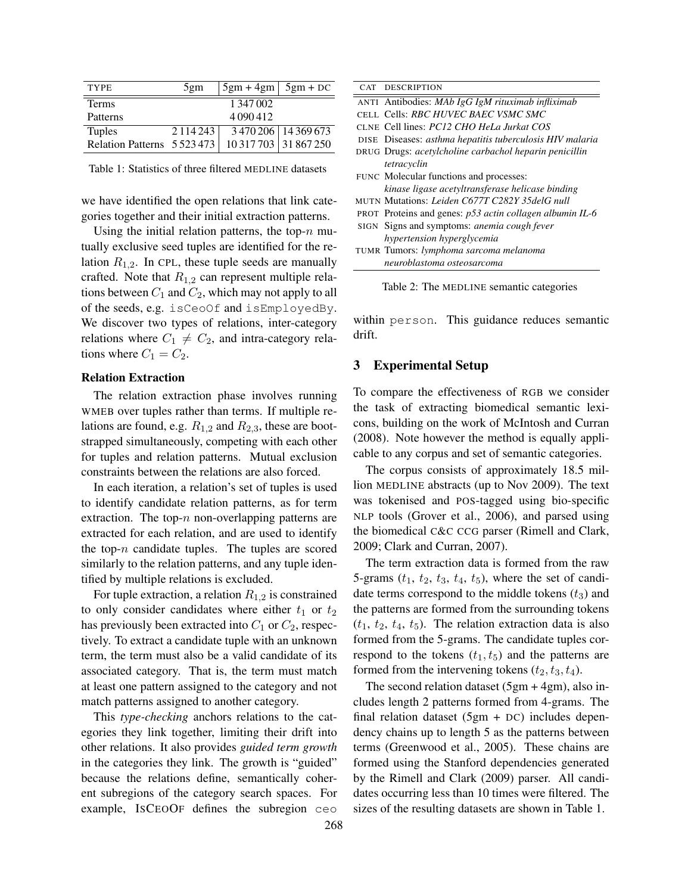| <b>TYPE</b>                 | 5gm       | $5gm + 4gm$   $5gm + DC$ |                       |
|-----------------------------|-----------|--------------------------|-----------------------|
| <b>Terms</b>                |           | 1 347 002                |                       |
| Patterns                    |           | 4090412                  |                       |
| <b>Tuples</b>               | 2.114.243 |                          | 3 470 206 14 369 673  |
| Relation Patterns 5 523 473 |           |                          | 10 317 703 31 867 250 |

Table 1: Statistics of three filtered MEDLINE datasets

we have identified the open relations that link categories together and their initial extraction patterns.

Using the initial relation patterns, the top- $n$  mutually exclusive seed tuples are identified for the relation  $R_{1,2}$ . In CPL, these tuple seeds are manually crafted. Note that  $R_{1,2}$  can represent multiple relations between  $C_1$  and  $C_2$ , which may not apply to all of the seeds, e.g. isCeoOf and isEmployedBy. We discover two types of relations, inter-category relations where  $C_1 \neq C_2$ , and intra-category relations where  $C_1 = C_2$ .

#### Relation Extraction

The relation extraction phase involves running WMEB over tuples rather than terms. If multiple relations are found, e.g.  $R_{1,2}$  and  $R_{2,3}$ , these are bootstrapped simultaneously, competing with each other for tuples and relation patterns. Mutual exclusion constraints between the relations are also forced.

In each iteration, a relation's set of tuples is used to identify candidate relation patterns, as for term extraction. The top- $n$  non-overlapping patterns are extracted for each relation, and are used to identify the top- $n$  candidate tuples. The tuples are scored similarly to the relation patterns, and any tuple identified by multiple relations is excluded.

For tuple extraction, a relation  $R_{1,2}$  is constrained to only consider candidates where either  $t_1$  or  $t_2$ has previously been extracted into  $C_1$  or  $C_2$ , respectively. To extract a candidate tuple with an unknown term, the term must also be a valid candidate of its associated category. That is, the term must match at least one pattern assigned to the category and not match patterns assigned to another category.

This *type-checking* anchors relations to the categories they link together, limiting their drift into other relations. It also provides *guided term growth* in the categories they link. The growth is "guided" because the relations define, semantically coherent subregions of the category search spaces. For example, ISCEOOF defines the subregion ceo

| CAT | <b>DESCRIPTION</b>                                                |
|-----|-------------------------------------------------------------------|
|     | ANTI Antibodies: MAb IgG IgM rituximab infliximab                 |
|     | CELL Cells: RBC HUVEC BAEC VSMC SMC                               |
|     | CLNE Cell lines: PC12 CHO HeLa Jurkat COS                         |
|     | DISE Diseases: asthma hepatitis tuberculosis HIV malaria          |
|     | DRUG Drugs: acetylcholine carbachol heparin penicillin            |
|     | tetracyclin                                                       |
|     | FUNC Molecular functions and processes:                           |
|     | kinase ligase acetyltransferase helicase binding                  |
|     | MUTN Mutations: Leiden C677T C282Y 35delG null                    |
|     | <b>PROT</b> Proteins and genes: $p53$ actin collagen albumin IL-6 |
|     | SIGN Signs and symptoms: <i>anemia cough fever</i>                |
|     | hypertension hyperglycemia                                        |
|     | TUMR Tumors: lymphoma sarcoma melanoma                            |
|     | neuroblastoma osteosarcoma                                        |

Table 2: The MEDLINE semantic categories

within person. This guidance reduces semantic drift.

#### 3 Experimental Setup

To compare the effectiveness of RGB we consider the task of extracting biomedical semantic lexicons, building on the work of McIntosh and Curran (2008). Note however the method is equally applicable to any corpus and set of semantic categories.

The corpus consists of approximately 18.5 million MEDLINE abstracts (up to Nov 2009). The text was tokenised and POS-tagged using bio-specific NLP tools (Grover et al., 2006), and parsed using the biomedical C&C CCG parser (Rimell and Clark, 2009; Clark and Curran, 2007).

The term extraction data is formed from the raw 5-grams  $(t_1, t_2, t_3, t_4, t_5)$ , where the set of candidate terms correspond to the middle tokens  $(t_3)$  and the patterns are formed from the surrounding tokens  $(t_1, t_2, t_4, t_5)$ . The relation extraction data is also formed from the 5-grams. The candidate tuples correspond to the tokens  $(t_1, t_5)$  and the patterns are formed from the intervening tokens  $(t_2, t_3, t_4)$ .

The second relation dataset  $(5gm + 4gm)$ , also includes length 2 patterns formed from 4-grams. The final relation dataset  $(5gm + DC)$  includes dependency chains up to length 5 as the patterns between terms (Greenwood et al., 2005). These chains are formed using the Stanford dependencies generated by the Rimell and Clark (2009) parser. All candidates occurring less than 10 times were filtered. The sizes of the resulting datasets are shown in Table 1.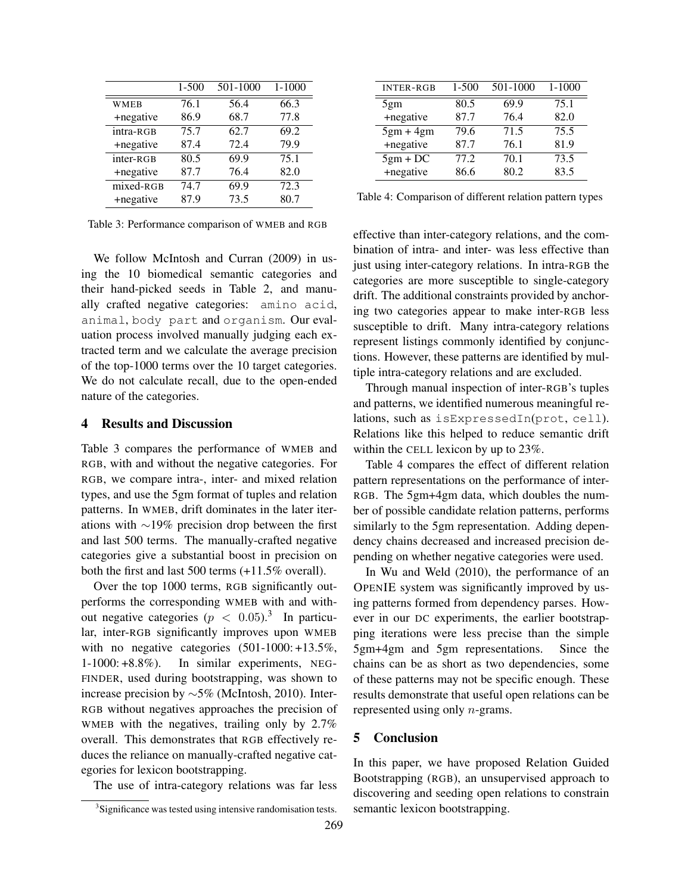|                               | $1 - 500$ | 501-1000 | $1 - 1000$ |
|-------------------------------|-----------|----------|------------|
| <b>WMEB</b>                   | 76.1      | 56.4     | 66.3       |
| +negative                     | 86.9      | 68.7     | 77.8       |
| intra-RGB                     | 75.7      | 62.7     | 69.2       |
| +negative                     | 87.4      | 72.4     | 79.9       |
| inter-RGB                     | 80.5      | 69.9     | 75.1       |
| +negative                     | 87.7      | 76.4     | 82.0       |
| $\overline{\text{mixed-RGB}}$ | 74.7      | 69.9     | 72.3       |
| +negative                     | 87.9      | 73.5     | 80.7       |

Table 3: Performance comparison of WMEB and RGB

We follow McIntosh and Curran (2009) in using the 10 biomedical semantic categories and their hand-picked seeds in Table 2, and manually crafted negative categories: amino acid, animal, body part and organism. Our evaluation process involved manually judging each extracted term and we calculate the average precision of the top-1000 terms over the 10 target categories. We do not calculate recall, due to the open-ended nature of the categories.

#### 4 Results and Discussion

Table 3 compares the performance of WMEB and RGB, with and without the negative categories. For RGB, we compare intra-, inter- and mixed relation types, and use the 5gm format of tuples and relation patterns. In WMEB, drift dominates in the later iterations with ∼19% precision drop between the first and last 500 terms. The manually-crafted negative categories give a substantial boost in precision on both the first and last 500 terms (+11.5% overall).

Over the top 1000 terms, RGB significantly outperforms the corresponding WMEB with and without negative categories ( $p < 0.05$ ).<sup>3</sup> In particular, inter-RGB significantly improves upon WMEB with no negative categories  $(501-1000: +13.5\%$ , 1-1000: +8.8%). In similar experiments, NEG-FINDER, used during bootstrapping, was shown to increase precision by ∼5% (McIntosh, 2010). Inter-RGB without negatives approaches the precision of WMEB with the negatives, trailing only by 2.7% overall. This demonstrates that RGB effectively reduces the reliance on manually-crafted negative categories for lexicon bootstrapping.

The use of intra-category relations was far less

| <b>INTER-RGB</b> | 1-500 | 501-1000 | 1-1000 |
|------------------|-------|----------|--------|
| 5gm              | 80.5  | 69.9     | 75.1   |
| +negative        | 87.7  | 76.4     | 82.0   |
| $5gm + 4gm$      | 79.6  | 71.5     | 75.5   |
| +negative        | 87.7  | 76.1     | 81.9   |
| $5gm + DC$       | 77.2  | 70.1     | 73.5   |
| +negative        | 86.6  | 80.2     | 83.5   |
|                  |       |          |        |

Table 4: Comparison of different relation pattern types

effective than inter-category relations, and the combination of intra- and inter- was less effective than just using inter-category relations. In intra-RGB the categories are more susceptible to single-category drift. The additional constraints provided by anchoring two categories appear to make inter-RGB less susceptible to drift. Many intra-category relations represent listings commonly identified by conjunctions. However, these patterns are identified by multiple intra-category relations and are excluded.

Through manual inspection of inter-RGB's tuples and patterns, we identified numerous meaningful relations, such as isExpressedIn(prot, cell). Relations like this helped to reduce semantic drift within the CELL lexicon by up to 23%.

Table 4 compares the effect of different relation pattern representations on the performance of inter-RGB. The 5gm+4gm data, which doubles the number of possible candidate relation patterns, performs similarly to the 5gm representation. Adding dependency chains decreased and increased precision depending on whether negative categories were used.

In Wu and Weld (2010), the performance of an OPENIE system was significantly improved by using patterns formed from dependency parses. However in our DC experiments, the earlier bootstrapping iterations were less precise than the simple 5gm+4gm and 5gm representations. Since the chains can be as short as two dependencies, some of these patterns may not be specific enough. These results demonstrate that useful open relations can be represented using only n-grams.

#### 5 Conclusion

In this paper, we have proposed Relation Guided Bootstrapping (RGB), an unsupervised approach to discovering and seeding open relations to constrain semantic lexicon bootstrapping.

<sup>&</sup>lt;sup>3</sup>Significance was tested using intensive randomisation tests.